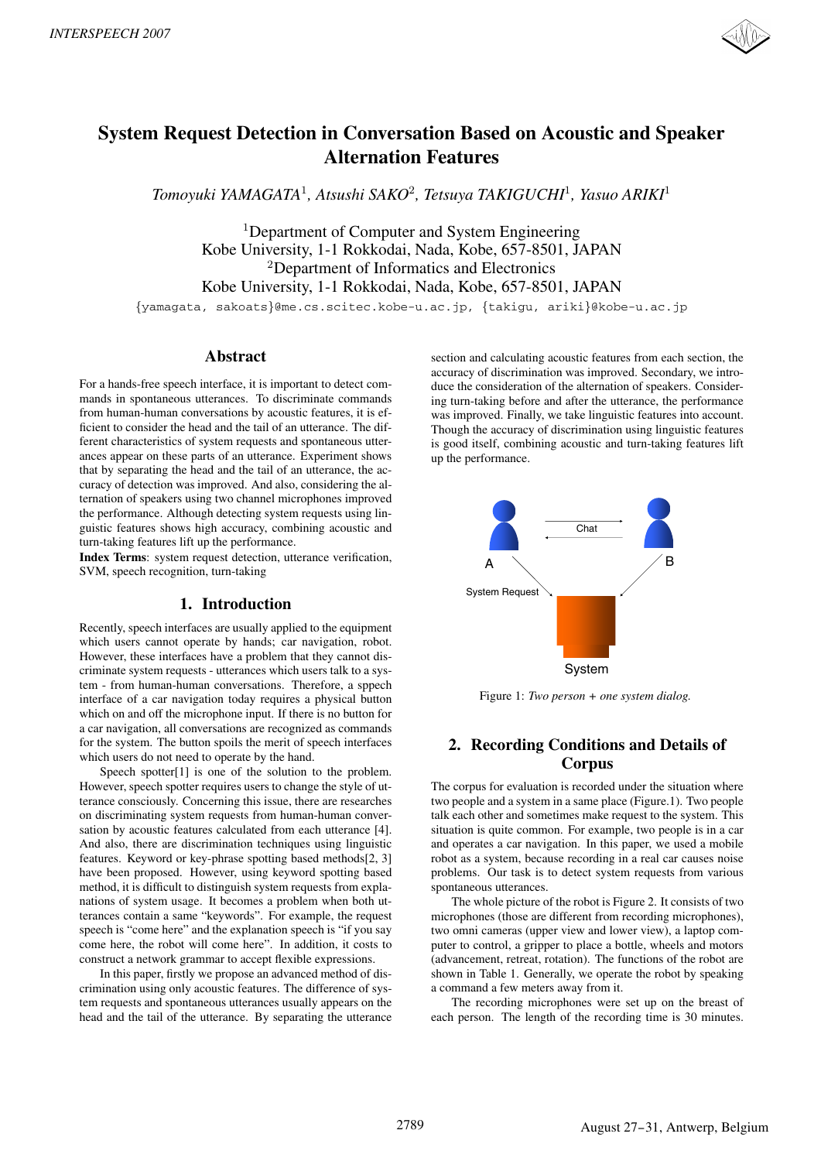

# **System Request Detection in Conversation Based on Acoustic and Speaker Alternation Features**

*Tomoyuki YAMAGATA*<sup>1</sup>*, Atsushi SAKO*<sup>2</sup>*, Tetsuya TAKIGUCHI*<sup>1</sup>*, Yasuo ARIKI*<sup>1</sup>

<sup>1</sup>Department of Computer and System Engineering Kobe University, 1-1 Rokkodai, Nada, Kobe, 657-8501, JAPAN <sup>2</sup>Department of Informatics and Electronics Kobe University, 1-1 Rokkodai, Nada, Kobe, 657-8501, JAPAN

{yamagata, sakoats}@me.cs.scitec.kobe-u.ac.jp, {takigu, ariki}@kobe-u.ac.jp

## **Abstract**

For a hands-free speech interface, it is important to detect commands in spontaneous utterances. To discriminate commands from human-human conversations by acoustic features, it is efficient to consider the head and the tail of an utterance. The different characteristics of system requests and spontaneous utterances appear on these parts of an utterance. Experiment shows that by separating the head and the tail of an utterance, the accuracy of detection was improved. And also, considering the alternation of speakers using two channel microphones improved the performance. Although detecting system requests using linguistic features shows high accuracy, combining acoustic and turn-taking features lift up the performance.

**Index Terms**: system request detection, utterance verification, SVM, speech recognition, turn-taking

# **1. Introduction**

Recently, speech interfaces are usually applied to the equipment which users cannot operate by hands; car navigation, robot. However, these interfaces have a problem that they cannot discriminate system requests - utterances which users talk to a system - from human-human conversations. Therefore, a sppech interface of a car navigation today requires a physical button which on and off the microphone input. If there is no button for a car navigation, all conversations are recognized as commands for the system. The button spoils the merit of speech interfaces which users do not need to operate by the hand.

Speech spotter<sup>[1]</sup> is one of the solution to the problem. However, speech spotter requires users to change the style of utterance consciously. Concerning this issue, there are researches on discriminating system requests from human-human conversation by acoustic features calculated from each utterance [4]. And also, there are discrimination techniques using linguistic features. Keyword or key-phrase spotting based methods[2, 3] have been proposed. However, using keyword spotting based method, it is difficult to distinguish system requests from explanations of system usage. It becomes a problem when both utterances contain a same "keywords". For example, the request speech is "come here" and the explanation speech is "if you say come here, the robot will come here". In addition, it costs to construct a network grammar to accept flexible expressions.

In this paper, firstly we propose an advanced method of discrimination using only acoustic features. The difference of system requests and spontaneous utterances usually appears on the head and the tail of the utterance. By separating the utterance

section and calculating acoustic features from each section, the accuracy of discrimination was improved. Secondary, we introduce the consideration of the alternation of speakers. Considering turn-taking before and after the utterance, the performance was improved. Finally, we take linguistic features into account. Though the accuracy of discrimination using linguistic features is good itself, combining acoustic and turn-taking features lift up the performance.



Figure 1: *Two person + one system dialog.*

# **2. Recording Conditions and Details of Corpus**

The corpus for evaluation is recorded under the situation where two people and a system in a same place (Figure.1). Two people talk each other and sometimes make request to the system. This situation is quite common. For example, two people is in a car and operates a car navigation. In this paper, we used a mobile robot as a system, because recording in a real car causes noise problems. Our task is to detect system requests from various spontaneous utterances.

The whole picture of the robot is Figure 2. It consists of two microphones (those are different from recording microphones), two omni cameras (upper view and lower view), a laptop computer to control, a gripper to place a bottle, wheels and motors (advancement, retreat, rotation). The functions of the robot are shown in Table 1. Generally, we operate the robot by speaking a command a few meters away from it.

The recording microphones were set up on the breast of each person. The length of the recording time is 30 minutes.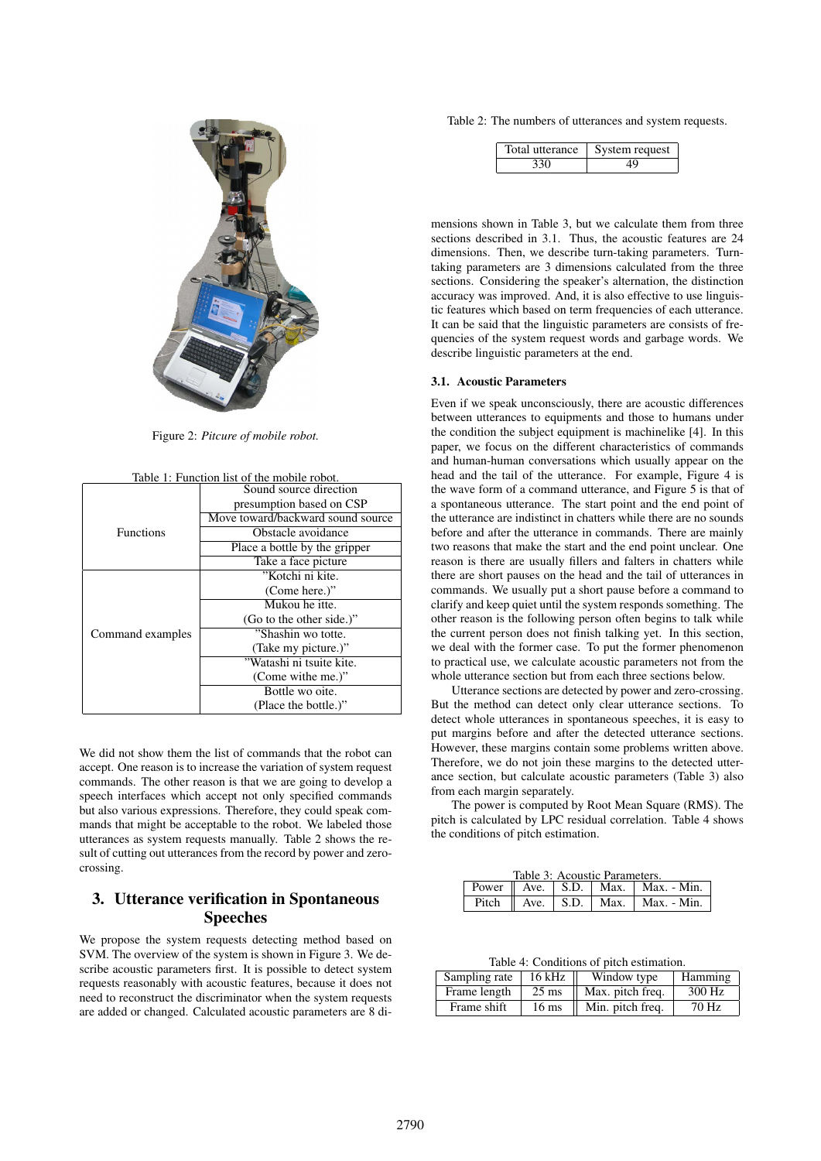

Figure 2: *Pitcure of mobile robot.*

| Table 1: Function list of the mobile robot. |                                   |  |  |
|---------------------------------------------|-----------------------------------|--|--|
|                                             | Sound source direction            |  |  |
|                                             | presumption based on CSP          |  |  |
|                                             | Move toward/backward sound source |  |  |
| <b>Functions</b>                            | Obstacle avoidance                |  |  |
|                                             | Place a bottle by the gripper     |  |  |
|                                             | Take a face picture               |  |  |
|                                             | "Kotchi ni kite.                  |  |  |
|                                             | (Come here.)"                     |  |  |
|                                             | Mukou he itte.                    |  |  |
|                                             | (Go to the other side.)"          |  |  |
| Command examples                            | "Shashin wo totte.                |  |  |
|                                             | (Take my picture.)"               |  |  |
|                                             | "Watashi ni tsuite kite.          |  |  |
|                                             | (Come withe me.)"                 |  |  |
|                                             | Bottle wo oite.                   |  |  |
|                                             | (Place the bottle.)"              |  |  |

We did not show them the list of commands that the robot can accept. One reason is to increase the variation of system request commands. The other reason is that we are going to develop a speech interfaces which accept not only specified commands but also various expressions. Therefore, they could speak commands that might be acceptable to the robot. We labeled those utterances as system requests manually. Table 2 shows the result of cutting out utterances from the record by power and zerocrossing.

# **3. Utterance verification in Spontaneous Speeches**

We propose the system requests detecting method based on SVM. The overview of the system is shown in Figure 3. We describe acoustic parameters first. It is possible to detect system requests reasonably with acoustic features, because it does not need to reconstruct the discriminator when the system requests are added or changed. Calculated acoustic parameters are 8 diTable 2: The numbers of utterances and system requests.

| Total utterance | System request |
|-----------------|----------------|
|                 |                |

mensions shown in Table 3, but we calculate them from three sections described in 3.1. Thus, the acoustic features are 24 dimensions. Then, we describe turn-taking parameters. Turntaking parameters are 3 dimensions calculated from the three sections. Considering the speaker's alternation, the distinction accuracy was improved. And, it is also effective to use linguistic features which based on term frequencies of each utterance. It can be said that the linguistic parameters are consists of frequencies of the system request words and garbage words. We describe linguistic parameters at the end.

#### **3.1. Acoustic Parameters**

Even if we speak unconsciously, there are acoustic differences between utterances to equipments and those to humans under the condition the subject equipment is machinelike [4]. In this paper, we focus on the different characteristics of commands and human-human conversations which usually appear on the head and the tail of the utterance. For example, Figure 4 is the wave form of a command utterance, and Figure 5 is that of a spontaneous utterance. The start point and the end point of the utterance are indistinct in chatters while there are no sounds before and after the utterance in commands. There are mainly two reasons that make the start and the end point unclear. One reason is there are usually fillers and falters in chatters while there are short pauses on the head and the tail of utterances in commands. We usually put a short pause before a command to clarify and keep quiet until the system responds something. The other reason is the following person often begins to talk while the current person does not finish talking yet. In this section, we deal with the former case. To put the former phenomenon to practical use, we calculate acoustic parameters not from the whole utterance section but from each three sections below.

Utterance sections are detected by power and zero-crossing. But the method can detect only clear utterance sections. To detect whole utterances in spontaneous speeches, it is easy to put margins before and after the detected utterance sections. However, these margins contain some problems written above. Therefore, we do not join these margins to the detected utterance section, but calculate acoustic parameters (Table 3) also from each margin separately.

The power is computed by Root Mean Square (RMS). The pitch is calculated by LPC residual correlation. Table 4 shows the conditions of pitch estimation.

| Table 3: Acoustic Parameters. |  |  |  |                                                                                  |
|-------------------------------|--|--|--|----------------------------------------------------------------------------------|
|                               |  |  |  | Power $\parallel$ Ave. $\parallel$ S.D. $\parallel$ Max. $\parallel$ Max. - Min. |
|                               |  |  |  | Pitch $\parallel$ Ave. $\parallel$ S.D. $\parallel$ Max. $\parallel$ Max. - Min. |

Table 4: Conditions of pitch estimation.

| Sampling rate | 16 kHz          | Window type      | Hamming |
|---------------|-----------------|------------------|---------|
| Frame length  | $25 \text{ ms}$ | Max. pitch freq. | 300 Hz  |
| Frame shift   | $16 \text{ ms}$ | Min. pitch freq. | 70 Hz   |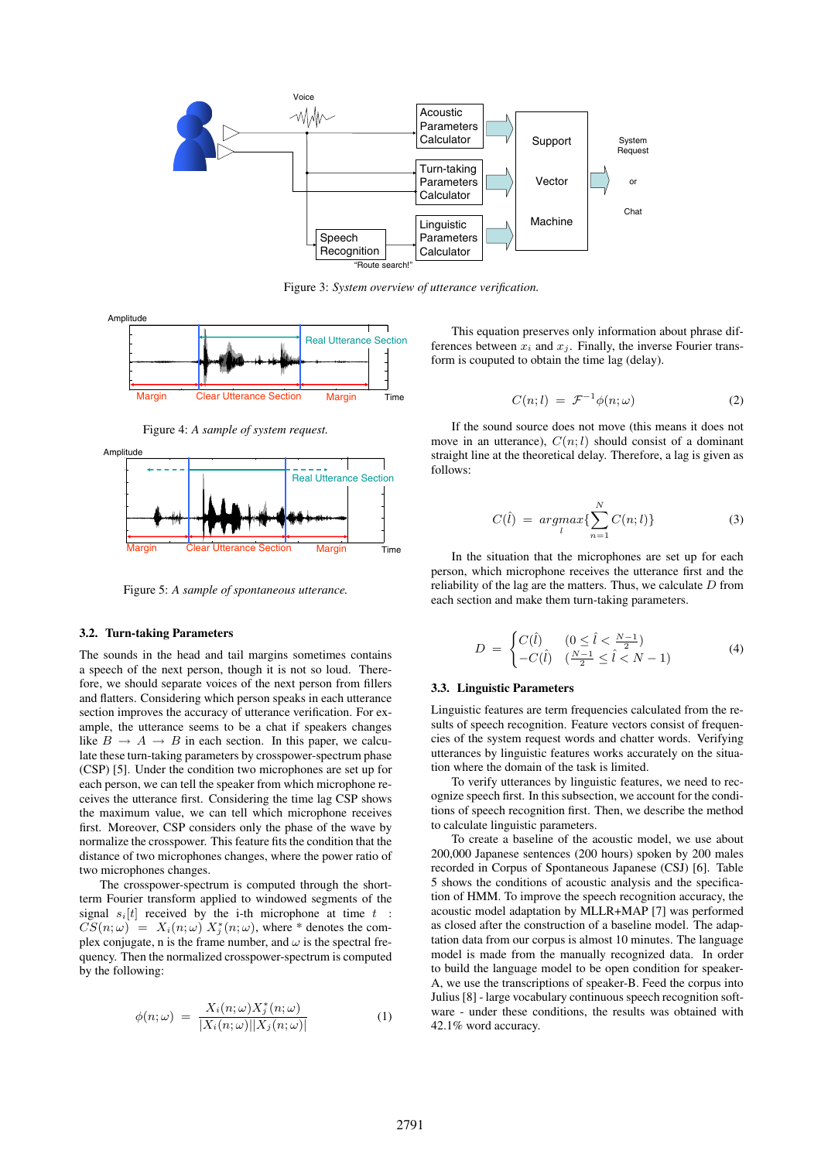

Figure 3: *System overview of utterance verification.*



Figure 4: *A sample of system request.*



Figure 5: *A sample of spontaneous utterance.*

#### **3.2. Turn-taking Parameters**

The sounds in the head and tail margins sometimes contains a speech of the next person, though it is not so loud. Therefore, we should separate voices of the next person from fillers and flatters. Considering which person speaks in each utterance section improves the accuracy of utterance verification. For example, the utterance seems to be a chat if speakers changes like  $B \to A \to B$  in each section. In this paper, we calculate these turn-taking parameters by crosspower-spectrum phase (CSP) [5]. Under the condition two microphones are set up for each person, we can tell the speaker from which microphone receives the utterance first. Considering the time lag CSP shows the maximum value, we can tell which microphone receives first. Moreover, CSP considers only the phase of the wave by normalize the crosspower. This feature fits the condition that the distance of two microphones changes, where the power ratio of two microphones changes.

The crosspower-spectrum is computed through the shortterm Fourier transform applied to windowed segments of the signal  $s_i[t]$  received by the i-th microphone at time  $t$  :  $CS(n; \omega) = X_i(n; \omega) X_j^*(n; \omega)$ , where \* denotes the com-<br>plex conjugate n is the frame number and  $\omega$  is the spectral freplex conjugate, n is the frame number, and  $\omega$  is the spectral frequency. Then the normalized crosspower-spectrum is computed by the following:

$$
\phi(n; \omega) = \frac{X_i(n; \omega) X_j^*(n; \omega)}{|X_i(n; \omega)||X_j(n; \omega)|} \tag{1}
$$

This equation preserves only information about phrase differences between  $x_i$  and  $x_j$ . Finally, the inverse Fourier transform is couputed to obtain the time lag (delay).

$$
C(n;l) = \mathcal{F}^{-1}\phi(n;\omega)
$$
 (2)

If the sound source does not move (this means it does not move in an utterance),  $C(n; l)$  should consist of a dominant straight line at the theoretical delay. Therefore, a lag is given as follows:

$$
C(\hat{l}) = \underset{l}{argmax} \{ \sum_{n=1}^{N} C(n; l) \}
$$
\n<sup>(3)</sup>

In the situation that the microphones are set up for each person, which microphone receives the utterance first and the reliability of the lag are the matters. Thus, we calculate  $D$  from each section and make them turn-taking parameters.

$$
D = \begin{cases} C(\hat{l}) & (0 \le \hat{l} < \frac{N-1}{2}) \\ -C(\hat{l}) & (\frac{N-1}{2} \le \hat{l} < N-1) \end{cases} \tag{4}
$$

#### **3.3. Linguistic Parameters**

Linguistic features are term frequencies calculated from the results of speech recognition. Feature vectors consist of frequencies of the system request words and chatter words. Verifying utterances by linguistic features works accurately on the situation where the domain of the task is limited.

To verify utterances by linguistic features, we need to recognize speech first. In this subsection, we account for the conditions of speech recognition first. Then, we describe the method to calculate linguistic parameters.

To create a baseline of the acoustic model, we use about 200,000 Japanese sentences (200 hours) spoken by 200 males recorded in Corpus of Spontaneous Japanese (CSJ) [6]. Table 5 shows the conditions of acoustic analysis and the specification of HMM. To improve the speech recognition accuracy, the acoustic model adaptation by MLLR+MAP [7] was performed as closed after the construction of a baseline model. The adaptation data from our corpus is almost 10 minutes. The language model is made from the manually recognized data. In order to build the language model to be open condition for speaker-A, we use the transcriptions of speaker-B. Feed the corpus into Julius [8] - large vocabulary continuous speech recognition software - under these conditions, the results was obtained with 42.1% word accuracy.